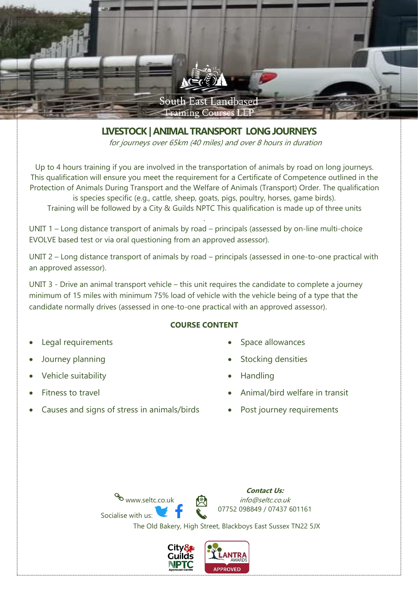

**LIVESTOCK| ANIMAL TRANSPORT LONGJOURNEYS**

for journeys over 65km (40 miles) and over 8 hours in duration

Up to 4 hours training if you are involved in the transportation of animals by road on long journeys. This qualification will ensure you meet the requirement for a Certificate of Competence outlined in the Protection of Animals During Transport and the Welfare of Animals (Transport) Order. The qualification is species specific (e.g., cattle, sheep, goats, pigs, poultry, horses, game birds). Training will be followed by a City & Guilds NPTC This qualification is made up of three units

.

UNIT 1 – Long distance transport of animals by road – principals (assessed by on-line multi-choice EVOLVE based test or via oral questioning from an approved assessor).

UNIT 2 – Long distance transport of animals by road – principals (assessed in one-to-one practical with an approved assessor).

UNIT 3 - Drive an animal transport vehicle – this unit requires the candidate to complete a journey minimum of 15 miles with minimum 75% load of vehicle with the vehicle being of a type that the candidate normally drives (assessed in one-to-one practical with an approved assessor).

# **COURSE CONTENT**

- Legal requirements
- Journey planning
- Vehicle suitability
- Fitness to travel
- Causes and signs of stress in animals/birds
- Space allowances
- Stocking densities

**Contact Us:**

- Handling
- Animal/bird welfare in transit
- Post journey requirements